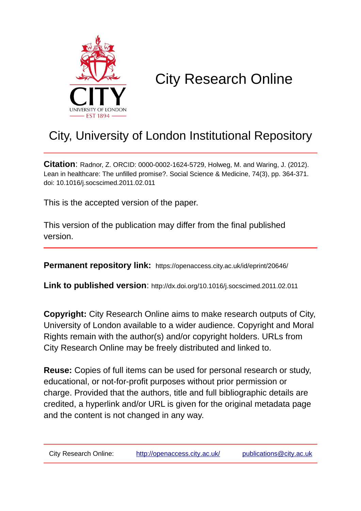

# City Research Online

# City, University of London Institutional Repository

**Citation**: Radnor, Z. ORCID: 0000-0002-1624-5729, Holweg, M. and Waring, J. (2012). Lean in healthcare: The unfilled promise?. Social Science & Medicine, 74(3), pp. 364-371. doi: 10.1016/j.socscimed.2011.02.011

This is the accepted version of the paper.

This version of the publication may differ from the final published version.

**Permanent repository link:** https://openaccess.city.ac.uk/id/eprint/20646/

**Link to published version**: http://dx.doi.org/10.1016/j.socscimed.2011.02.011

**Copyright:** City Research Online aims to make research outputs of City, University of London available to a wider audience. Copyright and Moral Rights remain with the author(s) and/or copyright holders. URLs from City Research Online may be freely distributed and linked to.

**Reuse:** Copies of full items can be used for personal research or study, educational, or not-for-profit purposes without prior permission or charge. Provided that the authors, title and full bibliographic details are credited, a hyperlink and/or URL is given for the original metadata page and the content is not changed in any way.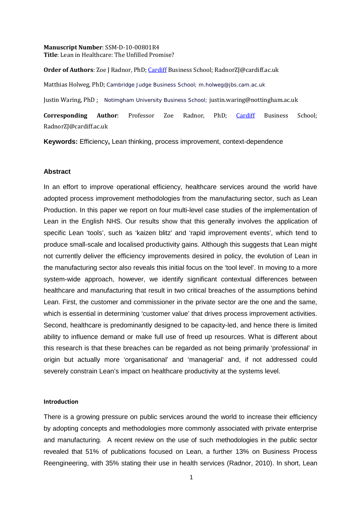#### **Manuscript Number**: SSM-D-10-00801R4 **Title**: Lean in Healthcare: The Unfilled Promise?

**Order of Authors**: Zoe J Radnor, PhD[; Cardiff](mailto:Cardiff) Business School; RadnorZJ@cardiff.ac.uk Matthias Holweg, PhD; Cambridge Judge Business School; m.holweg@jbs.cam.ac.uk Justin Waring, PhD ; Notimgham University Business School; justin.waring@nottingham.ac.uk **Corresponding Author**: Professor Zoe Radnor, PhD; [Cardiff](mailto:Cardiff) Business School; RadnorZJ@cardiff.ac.uk

**Keywords:** Efficiency**,** Lean thinking, process improvement, context-dependence

# **Abstract**

In an effort to improve operational efficiency, healthcare services around the world have adopted process improvement methodologies from the manufacturing sector, such as Lean Production. In this paper we report on four multi-level case studies of the implementation of Lean in the English NHS. Our results show that this generally involves the application of specific Lean 'tools', such as 'kaizen blitz' and 'rapid improvement events', which tend to produce small-scale and localised productivity gains. Although this suggests that Lean might not currently deliver the efficiency improvements desired in policy, the evolution of Lean in the manufacturing sector also reveals this initial focus on the 'tool level'. In moving to a more system-wide approach, however, we identify significant contextual differences between healthcare and manufacturing that result in two critical breaches of the assumptions behind Lean. First, the customer and commissioner in the private sector are the one and the same, which is essential in determining 'customer value' that drives process improvement activities. Second, healthcare is predominantly designed to be capacity-led, and hence there is limited ability to influence demand or make full use of freed up resources. What is different about this research is that these breaches can be regarded as not being primarily 'professional' in origin but actually more 'organisational' and 'managerial' and, if not addressed could severely constrain Lean's impact on healthcare productivity at the systems level.

# **Introduction**

There is a growing pressure on public services around the world to increase their efficiency by adopting concepts and methodologies more commonly associated with private enterprise and manufacturing. A recent review on the use of such methodologies in the public sector revealed that 51% of publications focused on Lean, a further 13% on Business Process Reengineering, with 35% stating their use in health services (Radnor, 2010). In short, Lean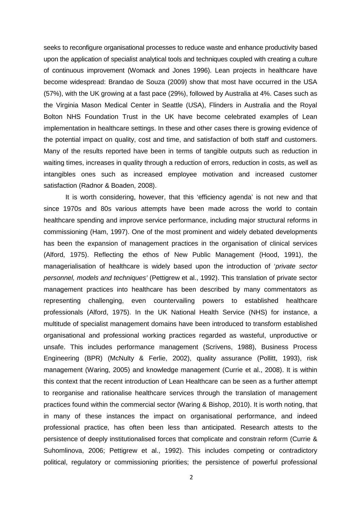seeks to reconfigure organisational processes to reduce waste and enhance productivity based upon the application of specialist analytical tools and techniques coupled with creating a culture of continuous improvement (Womack and Jones 1996). Lean projects in healthcare have become widespread: Brandao de Souza (2009) show that most have occurred in the USA (57%), with the UK growing at a fast pace (29%), followed by Australia at 4%. Cases such as the Virginia Mason Medical Center in Seattle (USA), Flinders in Australia and the Royal Bolton NHS Foundation Trust in the UK have become celebrated examples of Lean implementation in healthcare settings. In these and other cases there is growing evidence of the potential impact on quality, cost and time, and satisfaction of both staff and customers. Many of the results reported have been in terms of tangible outputs such as reduction in waiting times, increases in quality through a reduction of errors, reduction in costs, as well as intangibles ones such as increased employee motivation and increased customer satisfaction (Radnor & Boaden, 2008).

It is worth considering, however, that this 'efficiency agenda' is not new and that since 1970s and 80s various attempts have been made across the world to contain healthcare spending and improve service performance, including major structural reforms in commissioning (Ham, 1997). One of the most prominent and widely debated developments has been the expansion of management practices in the organisation of clinical services (Alford, 1975). Reflecting the ethos of New Public Management (Hood, 1991), the managerialisation of healthcare is widely based upon the introduction of '*private sector personnel, models and techniques'* (Pettigrew et al., 1992). This translation of private sector management practices into healthcare has been described by many commentators as representing challenging, even countervailing powers to established healthcare professionals (Alford, 1975). In the UK National Health Service (NHS) for instance, a multitude of specialist management domains have been introduced to transform established organisational and professional working practices regarded as wasteful, unproductive or unsafe. This includes performance management (Scrivens, 1988), Business Process Engineering (BPR) (McNulty & Ferlie, 2002), quality assurance (Pollitt, 1993), risk management (Waring, 2005) and knowledge management (Currie et al., 2008). It is within this context that the recent introduction of Lean Healthcare can be seen as a further attempt to reorganise and rationalise healthcare services through the translation of management practices found within the commercial sector (Waring & Bishop, 2010). It is worth noting, that in many of these instances the impact on organisational performance, and indeed professional practice, has often been less than anticipated. Research attests to the persistence of deeply institutionalised forces that complicate and constrain reform (Currie & Suhomlinova, 2006; Pettigrew et al., 1992). This includes competing or contradictory political, regulatory or commissioning priorities; the persistence of powerful professional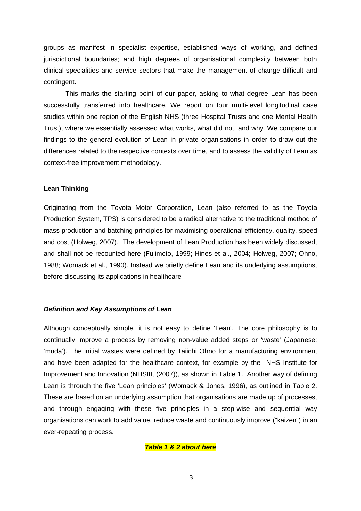groups as manifest in specialist expertise, established ways of working, and defined jurisdictional boundaries; and high degrees of organisational complexity between both clinical specialities and service sectors that make the management of change difficult and contingent.

This marks the starting point of our paper, asking to what degree Lean has been successfully transferred into healthcare. We report on four multi-level longitudinal case studies within one region of the English NHS (three Hospital Trusts and one Mental Health Trust), where we essentially assessed what works, what did not, and why. We compare our findings to the general evolution of Lean in private organisations in order to draw out the differences related to the respective contexts over time, and to assess the validity of Lean as context-free improvement methodology.

#### **Lean Thinking**

Originating from the Toyota Motor Corporation, Lean (also referred to as the Toyota Production System, TPS) is considered to be a radical alternative to the traditional method of mass production and batching principles for maximising operational efficiency, quality, speed and cost (Holweg, 2007). The development of Lean Production has been widely discussed, and shall not be recounted here (Fujimoto, 1999; Hines et al., 2004; Holweg, 2007; Ohno, 1988; Womack et al., 1990). Instead we briefly define Lean and its underlying assumptions, before discussing its applications in healthcare.

#### *Definition and Key Assumptions of Lean*

Although conceptually simple, it is not easy to define 'Lean'. The core philosophy is to continually improve a process by removing non-value added steps or 'waste' (Japanese: 'muda'). The initial wastes were defined by Taiichi Ohno for a manufacturing environment and have been adapted for the healthcare context, for example by the NHS Institute for Improvement and Innovation (NHSIII, (2007)), as shown in Table 1. Another way of defining Lean is through the five 'Lean principles' (Womack & Jones, 1996), as outlined in Table 2. These are based on an underlying assumption that organisations are made up of processes, and through engaging with these five principles in a step-wise and sequential way organisations can work to add value, reduce waste and continuously improve ("kaizen") in an ever-repeating process.

#### *Table 1 & 2 about here*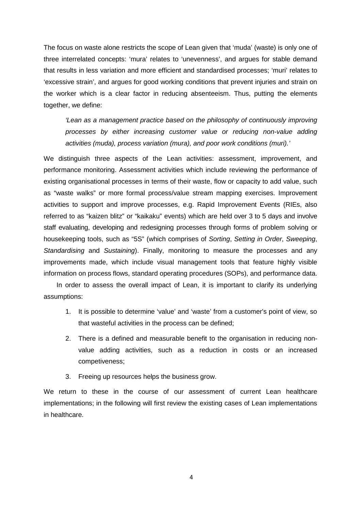The focus on waste alone restricts the scope of Lean given that 'muda' (waste) is only one of three interrelated concepts: 'mura' relates to 'unevenness', and argues for stable demand that results in less variation and more efficient and standardised processes; 'muri' relates to 'excessive strain', and argues for good working conditions that prevent injuries and strain on the worker which is a clear factor in reducing absenteeism. Thus, putting the elements together, we define:

*'Lean as a management practice based on the philosophy of continuously improving processes by either increasing customer value or reducing non-value adding activities (muda), process variation (mura), and poor work conditions (muri).'*

We distinguish three aspects of the Lean activities: assessment, improvement, and performance monitoring. Assessment activities which include reviewing the performance of existing organisational processes in terms of their waste, flow or capacity to add value, such as "waste walks" or more formal process/value stream mapping exercises. Improvement activities to support and improve processes, e.g. Rapid Improvement Events (RIEs, also referred to as "kaizen blitz" or "kaikaku" events) which are held over 3 to 5 days and involve staff evaluating, developing and redesigning processes through forms of problem solving or housekeeping tools, such as "5S" (which comprises of *Sorting*, *Setting in Order*, *Sweeping*, *Standardising* and *Sustaining*). Finally, monitoring to measure the processes and any improvements made, which include visual management tools that feature highly visible information on process flows, standard operating procedures (SOPs), and performance data.

In order to assess the overall impact of Lean, it is important to clarify its underlying assumptions:

- 1. It is possible to determine 'value' and 'waste' from a customer's point of view, so that wasteful activities in the process can be defined;
- 2. There is a defined and measurable benefit to the organisation in reducing nonvalue adding activities, such as a reduction in costs or an increased competiveness;
- 3. Freeing up resources helps the business grow.

We return to these in the course of our assessment of current Lean healthcare implementations; in the following will first review the existing cases of Lean implementations in healthcare.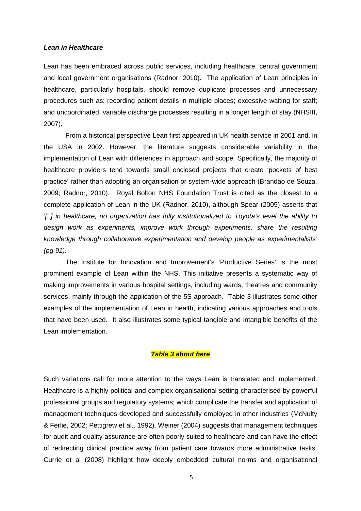#### *Lean in Healthcare*

Lean has been embraced across public services, including healthcare, central government and local government organisations (Radnor, 2010). The application of Lean principles in healthcare, particularly hospitals, should remove duplicate processes and unnecessary procedures such as: recording patient details in multiple places; excessive waiting for staff; and uncoordinated, variable discharge processes resulting in a longer length of stay (NHSIII, 2007).

From a historical perspective Lean first appeared in UK health service in 2001 and, in the USA in 2002. However, the literature suggests considerable variability in the implementation of Lean with differences in approach and scope. Specifically, the majority of healthcare providers tend towards small enclosed projects that create 'pockets of best practice' rather than adopting an organisation or system-wide approach (Brandao de Souza, 2009; Radnor, 2010). Royal Bolton NHS Foundation Trust is cited as the closest to a complete application of Lean in the UK (Radnor, 2010), although Spear (2005) asserts that *'[..] in healthcare, no organization has fully institutionalized to Toyota's level the ability to design work as experiments, improve work through experiments, share the resulting knowledge through collaborative experimentation and develop people as experimentalists' (pg 91).* 

The Institute for Innovation and Improvement's 'Productive Series' is the most prominent example of Lean within the NHS. This initiative presents a systematic way of making improvements in various hospital settings, including wards, theatres and community services, mainly through the application of the 5S approach. Table 3 illustrates some other examples of the implementation of Lean in health, indicating various approaches and tools that have been used. It also illustrates some typical tangible and intangible benefits of the Lean implementation.

#### *Table 3 about here*

Such variations call for more attention to the ways Lean is translated and implemented. Healthcare is a highly political and complex organisational setting characterised by powerful professional groups and regulatory systems; which complicate the transfer and application of management techniques developed and successfully employed in other industries (McNulty & Ferlie, 2002; Pettigrew et al., 1992). Weiner (2004) suggests that management techniques for audit and quality assurance are often poorly suited to healthcare and can have the effect of redirecting clinical practice away from patient care towards more administrative tasks. Currie et al (2008) highlight how deeply embedded cultural norms and organisational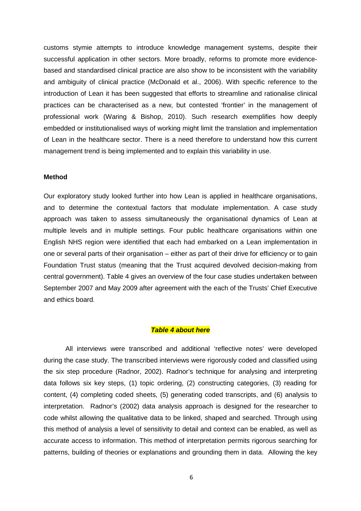customs stymie attempts to introduce knowledge management systems, despite their successful application in other sectors. More broadly, reforms to promote more evidencebased and standardised clinical practice are also show to be inconsistent with the variability and ambiguity of clinical practice (McDonald et al., 2006). With specific reference to the introduction of Lean it has been suggested that efforts to streamline and rationalise clinical practices can be characterised as a new, but contested 'frontier' in the management of professional work (Waring & Bishop, 2010). Such research exemplifies how deeply embedded or institutionalised ways of working might limit the translation and implementation of Lean in the healthcare sector. There is a need therefore to understand how this current management trend is being implemented and to explain this variability in use.

#### **Method**

Our exploratory study looked further into how Lean is applied in healthcare organisations, and to determine the contextual factors that modulate implementation. A case study approach was taken to assess simultaneously the organisational dynamics of Lean at multiple levels and in multiple settings. Four public healthcare organisations within one English NHS region were identified that each had embarked on a Lean implementation in one or several parts of their organisation – either as part of their drive for efficiency or to gain Foundation Trust status (meaning that the Trust acquired devolved decision-making from central government). Table 4 gives an overview of the four case studies undertaken between September 2007 and May 2009 after agreement with the each of the Trusts' Chief Executive and ethics board.

#### *Table 4 about here*

All interviews were transcribed and additional 'reflective notes' were developed during the case study. The transcribed interviews were rigorously coded and classified using the six step procedure (Radnor, 2002). Radnor's technique for analysing and interpreting data follows six key steps, (1) topic ordering, (2) constructing categories, (3) reading for content, (4) completing coded sheets, (5) generating coded transcripts, and (6) analysis to interpretation. Radnor's (2002) data analysis approach is designed for the researcher to code whilst allowing the qualitative data to be linked, shaped and searched. Through using this method of analysis a level of sensitivity to detail and context can be enabled, as well as accurate access to information. This method of interpretation permits rigorous searching for patterns, building of theories or explanations and grounding them in data. Allowing the key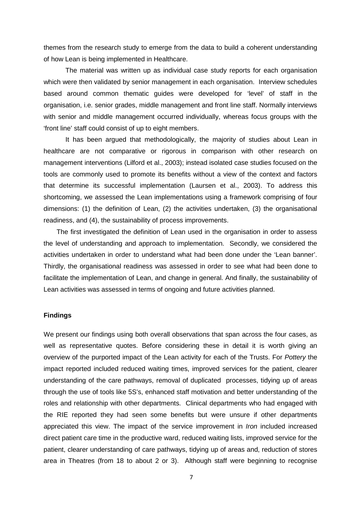themes from the research study to emerge from the data to build a coherent understanding of how Lean is being implemented in Healthcare.

The material was written up as individual case study reports for each organisation which were then validated by senior management in each organisation. Interview schedules based around common thematic guides were developed for 'level' of staff in the organisation, i.e. senior grades, middle management and front line staff. Normally interviews with senior and middle management occurred individually, whereas focus groups with the 'front line' staff could consist of up to eight members.

It has been argued that methodologically, the majority of studies about Lean in healthcare are not comparative or rigorous in comparison with other research on management interventions (Lilford et al., 2003); instead isolated case studies focused on the tools are commonly used to promote its benefits without a view of the context and factors that determine its successful implementation (Laursen et al., 2003). To address this shortcoming, we assessed the Lean implementations using a framework comprising of four dimensions: (1) the definition of Lean, (2) the activities undertaken, (3) the organisational readiness, and (4), the sustainability of process improvements.

The first investigated the definition of Lean used in the organisation in order to assess the level of understanding and approach to implementation. Secondly, we considered the activities undertaken in order to understand what had been done under the 'Lean banner'. Thirdly, the organisational readiness was assessed in order to see what had been done to facilitate the implementation of Lean, and change in general. And finally, the sustainability of Lean activities was assessed in terms of ongoing and future activities planned.

# **Findings**

We present our findings using both overall observations that span across the four cases, as well as representative quotes. Before considering these in detail it is worth giving an overview of the purported impact of the Lean activity for each of the Trusts. For *Pottery* the impact reported included reduced waiting times, improved services for the patient, clearer understanding of the care pathways, removal of duplicated processes, tidying up of areas through the use of tools like 5S's, enhanced staff motivation and better understanding of the roles and relationship with other departments. Clinical departments who had engaged with the RIE reported they had seen some benefits but were unsure if other departments appreciated this view. The impact of the service improvement in *Iron* included increased direct patient care time in the productive ward, reduced waiting lists, improved service for the patient, clearer understanding of care pathways, tidying up of areas and, reduction of stores area in Theatres (from 18 to about 2 or 3). Although staff were beginning to recognise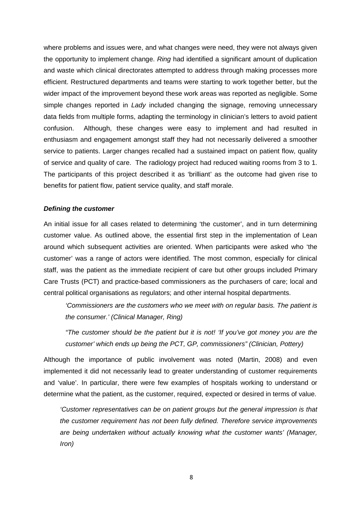where problems and issues were, and what changes were need, they were not always given the opportunity to implement change. *Ring* had identified a significant amount of duplication and waste which clinical directorates attempted to address through making processes more efficient. Restructured departments and teams were starting to work together better, but the wider impact of the improvement beyond these work areas was reported as negligible. Some simple changes reported in *Lady* included changing the signage, removing unnecessary data fields from multiple forms, adapting the terminology in clinician's letters to avoid patient confusion. Although, these changes were easy to implement and had resulted in enthusiasm and engagement amongst staff they had not necessarily delivered a smoother service to patients. Larger changes recalled had a sustained impact on patient flow, quality of service and quality of care. The radiology project had reduced waiting rooms from 3 to 1. The participants of this project described it as 'brilliant' as the outcome had given rise to benefits for patient flow, patient service quality, and staff morale.

# *Defining the customer*

An initial issue for all cases related to determining 'the customer', and in turn determining customer value. As outlined above, the essential first step in the implementation of Lean around which subsequent activities are oriented. When participants were asked who 'the customer' was a range of actors were identified. The most common, especially for clinical staff, was the patient as the immediate recipient of care but other groups included Primary Care Trusts (PCT) and practice-based commissioners as the purchasers of care; local and central political organisations as regulators; and other internal hospital departments.

*'Commissioners are the customers who we meet with on regular basis. The patient is the consumer.' (Clinical Manager, Ring)*

*"The customer should be the patient but it is not! 'If you've got money you are the customer' which ends up being the PCT, GP, commissioners" (Clinician, Pottery)*

Although the importance of public involvement was noted (Martin, 2008) and even implemented it did not necessarily lead to greater understanding of customer requirements and 'value'. In particular, there were few examples of hospitals working to understand or determine what the patient, as the customer, required, expected or desired in terms of value.

*'Customer representatives can be on patient groups but the general impression is that the customer requirement has not been fully defined. Therefore service improvements are being undertaken without actually knowing what the customer wants' (Manager, Iron)*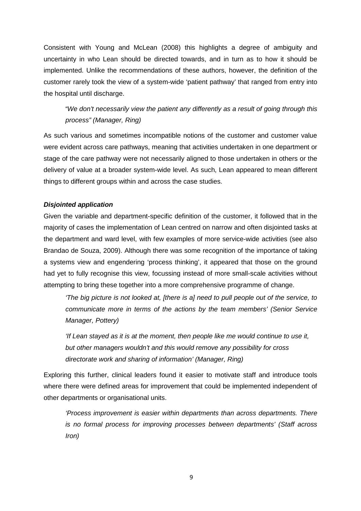Consistent with Young and McLean (2008) this highlights a degree of ambiguity and uncertainty in who Lean should be directed towards, and in turn as to how it should be implemented. Unlike the recommendations of these authors, however, the definition of the customer rarely took the view of a system-wide 'patient pathway' that ranged from entry into the hospital until discharge.

*"We don't necessarily view the patient any differently as a result of going through this process" (Manager, Ring)*

As such various and sometimes incompatible notions of the customer and customer value were evident across care pathways, meaning that activities undertaken in one department or stage of the care pathway were not necessarily aligned to those undertaken in others or the delivery of value at a broader system-wide level. As such, Lean appeared to mean different things to different groups within and across the case studies.

# *Disjointed application*

Given the variable and department-specific definition of the customer, it followed that in the majority of cases the implementation of Lean centred on narrow and often disjointed tasks at the department and ward level, with few examples of more service-wide activities (see also Brandao de Souza, 2009). Although there was some recognition of the importance of taking a systems view and engendering 'process thinking', it appeared that those on the ground had yet to fully recognise this view, focussing instead of more small-scale activities without attempting to bring these together into a more comprehensive programme of change.

*'The big picture is not looked at, [there is a] need to pull people out of the service, to communicate more in terms of the actions by the team members' (Senior Service Manager, Pottery)*

*'If Lean stayed as it is at the moment, then people like me would continue to use it, but other managers wouldn't and this would remove any possibility for cross directorate work and sharing of information' (Manager, Ring)*

Exploring this further, clinical leaders found it easier to motivate staff and introduce tools where there were defined areas for improvement that could be implemented independent of other departments or organisational units.

*'Process improvement is easier within departments than across departments. There is no formal process for improving processes between departments' (Staff across Iron)*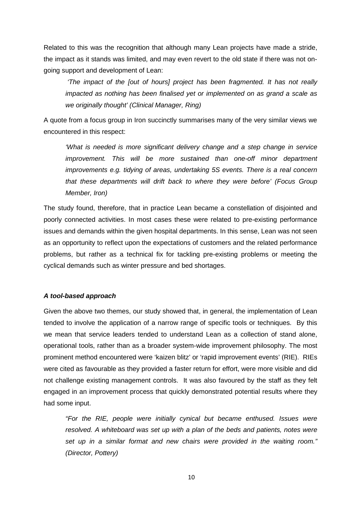Related to this was the recognition that although many Lean projects have made a stride, the impact as it stands was limited, and may even revert to the old state if there was not ongoing support and development of Lean:

*'The impact of the [out of hours] project has been fragmented. It has not really impacted as nothing has been finalised yet or implemented on as grand a scale as we originally thought' (Clinical Manager, Ring)*

A quote from a focus group in Iron succinctly summarises many of the very similar views we encountered in this respect:

*'What is needed is more significant delivery change and a step change in service improvement. This will be more sustained than one-off minor department improvements e.g. tidying of areas, undertaking 5S events. There is a real concern that these departments will drift back to where they were before' (Focus Group Member, Iron)*

The study found, therefore, that in practice Lean became a constellation of disjointed and poorly connected activities. In most cases these were related to pre-existing performance issues and demands within the given hospital departments. In this sense, Lean was not seen as an opportunity to reflect upon the expectations of customers and the related performance problems, but rather as a technical fix for tackling pre-existing problems or meeting the cyclical demands such as winter pressure and bed shortages.

# *A tool-based approach*

Given the above two themes, our study showed that, in general, the implementation of Lean tended to involve the application of a narrow range of specific tools or techniques. By this we mean that service leaders tended to understand Lean as a collection of stand alone, operational tools, rather than as a broader system-wide improvement philosophy. The most prominent method encountered were 'kaizen blitz' or 'rapid improvement events' (RIE). RIEs were cited as favourable as they provided a faster return for effort, were more visible and did not challenge existing management controls. It was also favoured by the staff as they felt engaged in an improvement process that quickly demonstrated potential results where they had some input.

*"For the RIE, people were initially cynical but became enthused. Issues were resolved. A whiteboard was set up with a plan of the beds and patients, notes were set up in a similar format and new chairs were provided in the waiting room." (Director, Pottery)*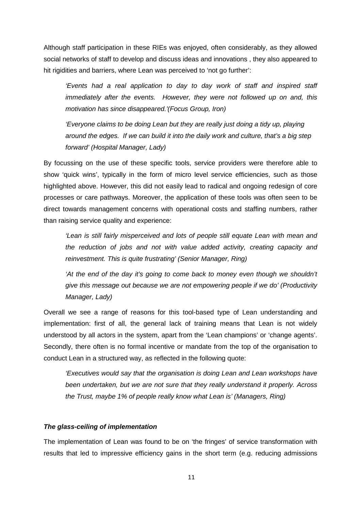Although staff participation in these RIEs was enjoyed, often considerably, as they allowed social networks of staff to develop and discuss ideas and innovations , they also appeared to hit rigidities and barriers, where Lean was perceived to 'not go further':

*'Events had a real application to day to day work of staff and inspired staff immediately after the events. However, they were not followed up on and, this motivation has since disappeared.'(Focus Group, Iron)*

*'Everyone claims to be doing Lean but they are really just doing a tidy up, playing around the edges. If we can build it into the daily work and culture, that's a big step forward' (Hospital Manager, Lady)*

By focussing on the use of these specific tools, service providers were therefore able to show 'quick wins', typically in the form of micro level service efficiencies, such as those highlighted above. However, this did not easily lead to radical and ongoing redesign of core processes or care pathways. Moreover, the application of these tools was often seen to be direct towards management concerns with operational costs and staffing numbers, rather than raising service quality and experience:

*'Lean is still fairly misperceived and lots of people still equate Lean with mean and the reduction of jobs and not with value added activity, creating capacity and reinvestment. This is quite frustrating' (Senior Manager, Ring)*

*'At the end of the day it's going to come back to money even though we shouldn't give this message out because we are not empowering people if we do' (Productivity Manager, Lady)*

Overall we see a range of reasons for this tool-based type of Lean understanding and implementation: first of all, the general lack of training means that Lean is not widely understood by all actors in the system, apart from the 'Lean champions' or 'change agents'. Secondly, there often is no formal incentive or mandate from the top of the organisation to conduct Lean in a structured way, as reflected in the following quote:

*'Executives would say that the organisation is doing Lean and Lean workshops have been undertaken, but we are not sure that they really understand it properly. Across the Trust, maybe 1% of people really know what Lean is' (Managers, Ring)*

# *The glass-ceiling of implementation*

The implementation of Lean was found to be on 'the fringes' of service transformation with results that led to impressive efficiency gains in the short term (e.g. reducing admissions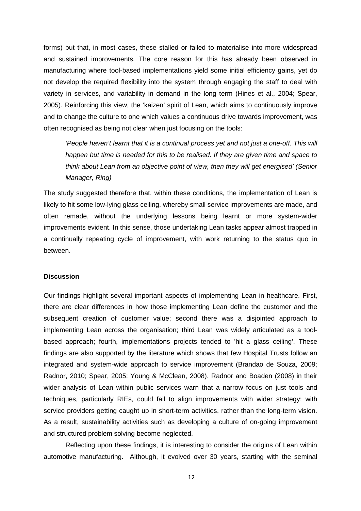forms) but that, in most cases, these stalled or failed to materialise into more widespread and sustained improvements. The core reason for this has already been observed in manufacturing where tool-based implementations yield some initial efficiency gains, yet do not develop the required flexibility into the system through engaging the staff to deal with variety in services, and variability in demand in the long term (Hines et al., 2004; Spear, 2005). Reinforcing this view, the 'kaizen' spirit of Lean, which aims to continuously improve and to change the culture to one which values a continuous drive towards improvement, was often recognised as being not clear when just focusing on the tools:

*'People haven't learnt that it is a continual process yet and not just a one-off. This will happen but time is needed for this to be realised. If they are given time and space to think about Lean from an objective point of view, then they will get energised' (Senior Manager, Ring)*

The study suggested therefore that, within these conditions, the implementation of Lean is likely to hit some low-lying glass ceiling, whereby small service improvements are made, and often remade, without the underlying lessons being learnt or more system-wider improvements evident. In this sense, those undertaking Lean tasks appear almost trapped in a continually repeating cycle of improvement, with work returning to the status quo in between.

# **Discussion**

Our findings highlight several important aspects of implementing Lean in healthcare. First, there are clear differences in how those implementing Lean define the customer and the subsequent creation of customer value; second there was a disjointed approach to implementing Lean across the organisation; third Lean was widely articulated as a toolbased approach; fourth, implementations projects tended to 'hit a glass ceiling'. These findings are also supported by the literature which shows that few Hospital Trusts follow an integrated and system-wide approach to service improvement (Brandao de Souza, 2009; Radnor, 2010; Spear, 2005; Young & McClean, 2008). Radnor and Boaden (2008) in their wider analysis of Lean within public services warn that a narrow focus on just tools and techniques, particularly RIEs, could fail to align improvements with wider strategy; with service providers getting caught up in short-term activities, rather than the long-term vision. As a result, sustainability activities such as developing a culture of on-going improvement and structured problem solving become neglected.

Reflecting upon these findings, it is interesting to consider the origins of Lean within automotive manufacturing. Although, it evolved over 30 years, starting with the seminal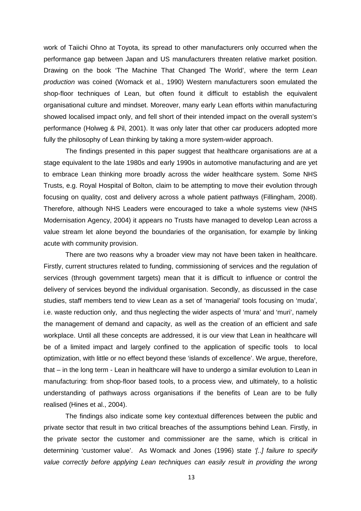work of Taiichi Ohno at Toyota, its spread to other manufacturers only occurred when the performance gap between Japan and US manufacturers threaten relative market position. Drawing on the book 'The Machine That Changed The World', where the term *Lean production* was coined (Womack et al., 1990) Western manufacturers soon emulated the shop-floor techniques of Lean, but often found it difficult to establish the equivalent organisational culture and mindset. Moreover, many early Lean efforts within manufacturing showed localised impact only, and fell short of their intended impact on the overall system's performance (Holweg & Pil, 2001). It was only later that other car producers adopted more fully the philosophy of Lean thinking by taking a more system-wider approach.

The findings presented in this paper suggest that healthcare organisations are at a stage equivalent to the late 1980s and early 1990s in automotive manufacturing and are yet to embrace Lean thinking more broadly across the wider healthcare system. Some NHS Trusts, e.g. Royal Hospital of Bolton, claim to be attempting to move their evolution through focusing on quality, cost and delivery across a whole patient pathways (Fillingham, 2008). Therefore, although NHS Leaders were encouraged to take a whole systems view (NHS Modernisation Agency, 2004) it appears no Trusts have managed to develop Lean across a value stream let alone beyond the boundaries of the organisation, for example by linking acute with community provision.

There are two reasons why a broader view may not have been taken in healthcare. Firstly, current structures related to funding, commissioning of services and the regulation of services (through government targets) mean that it is difficult to influence or control the delivery of services beyond the individual organisation. Secondly, as discussed in the case studies, staff members tend to view Lean as a set of 'managerial' tools focusing on 'muda', i.e. waste reduction only, and thus neglecting the wider aspects of 'mura' and 'muri', namely the management of demand and capacity, as well as the creation of an efficient and safe workplace. Until all these concepts are addressed, it is our view that Lean in healthcare will be of a limited impact and largely confined to the application of specific tools to local optimization, with little or no effect beyond these 'islands of excellence'. We argue, therefore, that – in the long term - Lean in healthcare will have to undergo a similar evolution to Lean in manufacturing: from shop-floor based tools, to a process view, and ultimately, to a holistic understanding of pathways across organisations if the benefits of Lean are to be fully realised (Hines et al., 2004).

The findings also indicate some key contextual differences between the public and private sector that result in two critical breaches of the assumptions behind Lean. Firstly, in the private sector the customer and commissioner are the same, which is critical in determining 'customer value'. As Womack and Jones (1996) state *'[..] failure to specify*  value correctly before applying Lean techniques can easily result in providing the wrong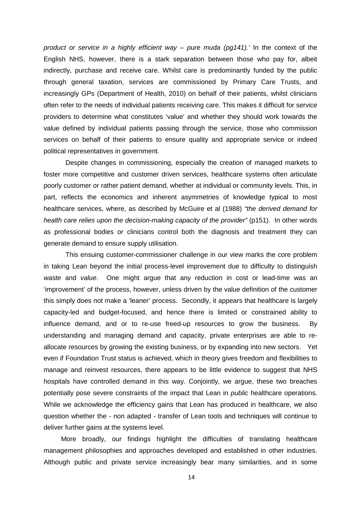*product or service in a highly efficient way – pure muda (pg141).'* In the context of the English NHS, however, there is a stark separation between those who pay for, albeit indirectly, purchase and receive care. Whilst care is predominantly funded by the public through general taxation, services are commissioned by Primary Care Trusts, and increasingly GPs (Department of Health, 2010) on behalf of their patients, whilst clinicians often refer to the needs of individual patients receiving care. This makes it difficult for service providers to determine what constitutes 'value' and whether they should work towards the value defined by individual patients passing through the service, those who commission services on behalf of their patients to ensure quality and appropriate service or indeed political representatives in government.

Despite changes in commissioning, especially the creation of managed markets to foster more competitive and customer driven services, healthcare systems often articulate poorly customer or rather patient demand, whether at individual or community levels. This, in part, reflects the economics and inherent asymmetries of knowledge typical to most healthcare services, where, as described by McGuire et al (1988) *"the derived demand for health care relies upon the decision-making capacity of the provider"* (p151). In other words as professional bodies or clinicians control both the diagnosis and treatment they can generate demand to ensure supply utilisation.

This ensuing customer-commissioner challenge in our view marks the core problem in taking Lean beyond the initial process-level improvement due to difficulty to distinguish *waste* and *value*. One might argue that any reduction in cost or lead-time was an 'improvement' of the process, however, unless driven by the value definition of the customer this simply does not make a 'leaner' process. Secondly, it appears that healthcare is largely capacity-led and budget-focused, and hence there is limited or constrained ability to influence demand, and or to re-use freed-up resources to grow the business. By understanding and managing demand and capacity, private enterprises are able to reallocate resources by growing the existing business, or by expanding into new sectors. Yet even if Foundation Trust status is achieved, which in theory gives freedom and flexibilities to manage and reinvest resources, there appears to be little evidence to suggest that NHS hospitals have controlled demand in this way. Conjointly, we argue, these two breaches potentially pose severe constraints of the impact that Lean in *public* healthcare operations. While we acknowledge the efficiency gains that Lean has produced in healthcare, we also question whether the - non adapted - transfer of Lean tools and techniques will continue to deliver further gains at the systems level.

More broadly, our findings highlight the difficulties of translating healthcare management philosophies and approaches developed and established in other industries. Although public and private service increasingly bear many similarities, and in some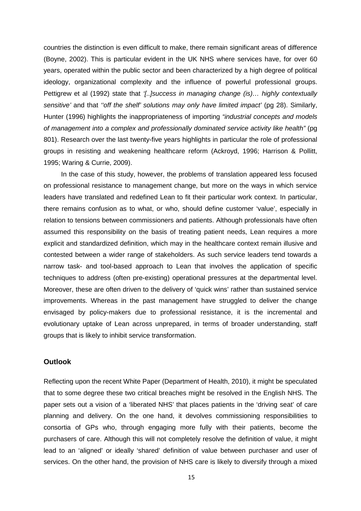countries the distinction is even difficult to make, there remain significant areas of difference (Boyne, 2002). This is particular evident in the UK NHS where services have, for over 60 years, operated within the public sector and been characterized by a high degree of political ideology, organizational complexity and the influence of powerful professional groups. Pettigrew et al (1992) state that *'[..]success in managing change (is)… highly contextually sensitive'* and that *''off the shelf' solutions may only have limited impact'* (pg 28). Similarly, Hunter (1996) highlights the inappropriateness of importing *"industrial concepts and models of management into a complex and professionally dominated service activity like health"* (pg 801). Research over the last twenty-five years highlights in particular the role of professional groups in resisting and weakening healthcare reform (Ackroyd, 1996; Harrison & Pollitt, 1995; Waring & Currie, 2009).

In the case of this study, however, the problems of translation appeared less focused on professional resistance to management change, but more on the ways in which service leaders have translated and redefined Lean to fit their particular work context. In particular, there remains confusion as to what, or who, should define customer 'value', especially in relation to tensions between commissioners and patients. Although professionals have often assumed this responsibility on the basis of treating patient needs, Lean requires a more explicit and standardized definition, which may in the healthcare context remain illusive and contested between a wider range of stakeholders. As such service leaders tend towards a narrow task- and tool-based approach to Lean that involves the application of specific techniques to address (often pre-existing) operational pressures at the departmental level. Moreover, these are often driven to the delivery of 'quick wins' rather than sustained service improvements. Whereas in the past management have struggled to deliver the change envisaged by policy-makers due to professional resistance, it is the incremental and evolutionary uptake of Lean across unprepared, in terms of broader understanding, staff groups that is likely to inhibit service transformation.

# **Outlook**

Reflecting upon the recent White Paper (Department of Health, 2010), it might be speculated that to some degree these two critical breaches might be resolved in the English NHS. The paper sets out a vision of a 'liberated NHS' that places patients in the 'driving seat' of care planning and delivery. On the one hand, it devolves commissioning responsibilities to consortia of GPs who, through engaging more fully with their patients, become the purchasers of care. Although this will not completely resolve the definition of value, it might lead to an 'aligned' or ideally 'shared' definition of value between purchaser and user of services. On the other hand, the provision of NHS care is likely to diversify through a mixed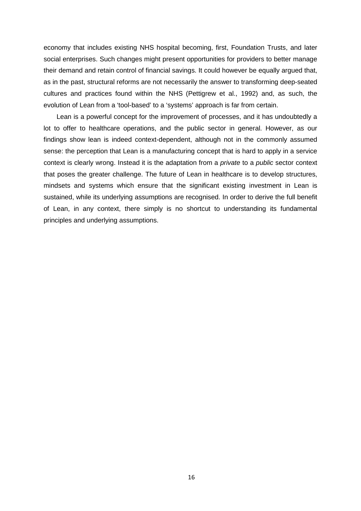economy that includes existing NHS hospital becoming, first, Foundation Trusts, and later social enterprises. Such changes might present opportunities for providers to better manage their demand and retain control of financial savings. It could however be equally argued that, as in the past, structural reforms are not necessarily the answer to transforming deep-seated cultures and practices found within the NHS (Pettigrew et al., 1992) and, as such, the evolution of Lean from a 'tool-based' to a 'systems' approach is far from certain.

Lean is a powerful concept for the improvement of processes, and it has undoubtedly a lot to offer to healthcare operations, and the public sector in general. However, as our findings show lean is indeed context-dependent, although not in the commonly assumed sense: the perception that Lean is a manufacturing concept that is hard to apply in a service context is clearly wrong. Instead it is the adaptation from a *private* to a *public* sector context that poses the greater challenge. The future of Lean in healthcare is to develop structures, mindsets and systems which ensure that the significant existing investment in Lean is sustained, while its underlying assumptions are recognised. In order to derive the full benefit of Lean, in any context, there simply is no shortcut to understanding its fundamental principles and underlying assumptions.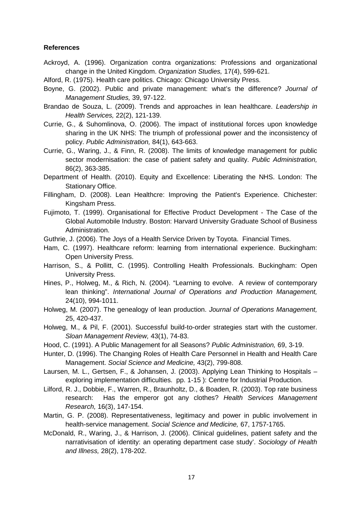# **References**

- Ackroyd, A. (1996). Organization contra organizations: Professions and organizational change in the United Kingdom. *Organization Studies,* 17(4), 599-621.
- Alford, R. (1975). Health care politics. Chicago: Chicago University Press.
- Boyne, G. (2002). Public and private management: what's the difference? *Journal of Management Studies,* 39, 97-122.
- Brandao de Souza, L. (2009). Trends and approaches in lean healthcare. *Leadership in Health Services,* 22(2), 121-139.
- Currie, G., & Suhomlinova, O. (2006). The impact of institutional forces upon knowledge sharing in the UK NHS: The triumph of professional power and the inconsistency of policy. *Public Administration,* 84(1), 643-663.
- Currie, G., Waring, J., & Finn, R. (2008). The limits of knowledge management for public sector modernisation: the case of patient safety and quality. *Public Administration,*  86(2), 363-385.
- Department of Health. (2010). Equity and Excellence: Liberating the NHS. London: The Stationary Office.
- Fillingham, D. (2008). Lean Healthcre: Improving the Patient's Experience. Chichester: Kingsham Press.
- Fujimoto, T. (1999). Organisational for Effective Product Development The Case of the Global Automobile Industry. Boston: Harvard University Graduate School of Business Administration.
- Guthrie, J. (2006). The Joys of a Health Service Driven by Toyota. Financial Times.
- Ham, C. (1997). Healthcare reform: learning from international experience. Buckingham: Open University Press.
- Harrison, S., & Pollitt, C. (1995). Controlling Health Professionals. Buckingham: Open University Press.
- Hines, P., Holweg, M., & Rich, N. (2004). "Learning to evolve. A review of contemporary lean thinking". *International Journal of Operations and Production Management,*  24(10), 994-1011.
- Holweg, M. (2007). The genealogy of lean production. *Journal of Operations Management,*  25, 420-437.
- Holweg, M., & Pil, F. (2001). Successful build-to-order strategies start with the customer. *Sloan Management Review,* 43(1), 74-83.
- Hood, C. (1991). A Public Management for all Seasons? *Public Administration,* 69, 3-19.
- Hunter, D. (1996). The Changing Roles of Health Care Personnel in Health and Health Care Management. *Social Science and Medicine,* 43(2), 799-808.
- Laursen, M. L., Gertsen, F., & Johansen, J. (2003). Applying Lean Thinking to Hospitals exploring implementation difficulties. pp. 1-15 ): Centre for Industrial Production.
- Lilford, R. J., Dobbie, F., Warren, R., Braunholtz, D., & Boaden, R. (2003). Top rate business research: Has the emperor got any clothes? *Health Services Management Research,* 16(3), 147-154.
- Martin, G. P. (2008). Representativeness, legitimacy and power in public involvement in health-service management. *Social Science and Medicine,* 67, 1757-1765.
- McDonald, R., Waring, J., & Harrison, J. (2006). Clinical guidelines, patient safety and the narrativisation of identity: an operating department case study'. *Sociology of Health and Illness,* 28(2), 178-202.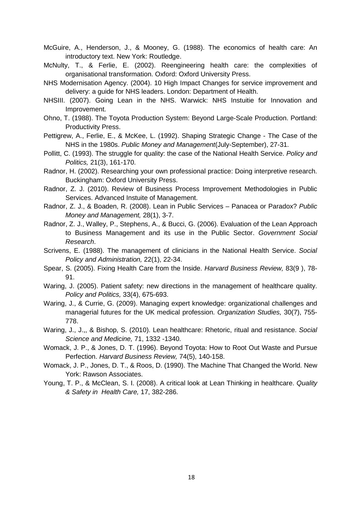- McGuire, A., Henderson, J., & Mooney, G. (1988). The economics of health care: An introductory text. New York: Routledge.
- McNulty, T., & Ferlie, E. (2002). Reengineering health care: the complexities of organisational transformation. Oxford: Oxford University Press.
- NHS Modernisation Agency. (2004). 10 High Impact Changes for service improvement and delivery: a guide for NHS leaders. London: Department of Health.
- NHSIII. (2007). Going Lean in the NHS. Warwick: NHS Instuitie for Innovation and Improvement.
- Ohno, T. (1988). The Toyota Production System: Beyond Large-Scale Production. Portland: Productivity Press.
- Pettigrew, A., Ferlie, E., & McKee, L. (1992). Shaping Strategic Change The Case of the NHS in the 1980s. *Public Money and Management*(July-September), 27-31.
- Pollitt, C. (1993). The struggle for quality: the case of the National Health Service. *Policy and Politics,* 21(3), 161-170.
- Radnor, H. (2002). Researching your own professional practice: Doing interpretive research. Buckingham: Oxford University Press.
- Radnor, Z. J. (2010). Review of Business Process Improvement Methodologies in Public Services. Advanced Instuite of Management.
- Radnor, Z. J., & Boaden, R. (2008). Lean in Public Services Panacea or Paradox? *Public Money and Management,* 28(1), 3-7.
- Radnor, Z. J., Walley, P., Stephens, A., & Bucci, G. (2006). Evaluation of the Lean Approach to Business Management and its use in the Public Sector. *Government Social Research*.
- Scrivens, E. (1988). The management of clinicians in the National Health Service. *Social Policy and Administration,* 22(1), 22-34.
- Spear, S. (2005). Fixing Health Care from the Inside. *Harvard Business Review,* 83(9 ), 78- 91.
- Waring, J. (2005). Patient safety: new directions in the management of healthcare quality. *Policy and Politics,* 33(4), 675-693.
- Waring, J., & Currie, G. (2009). Managing expert knowledge: organizational challenges and managerial futures for the UK medical profession. *Organization Studies,* 30(7), 755- 778.
- Waring, J., J.,, & Bishop, S. (2010). Lean healthcare: Rhetoric, ritual and resistance. *Social Science and Medicine,* 71, 1332 -1340.
- Womack, J. P., & Jones, D. T. (1996). Beyond Toyota: How to Root Out Waste and Pursue Perfection. *Harvard Business Review,* 74(5), 140-158.
- Womack, J. P., Jones, D. T., & Roos, D. (1990). The Machine That Changed the World. New York: Rawson Associates.
- Young, T. P., & McClean, S. I. (2008). A critical look at Lean Thinking in healthcare. *Quality & Safety in Health Care,* 17, 382-286.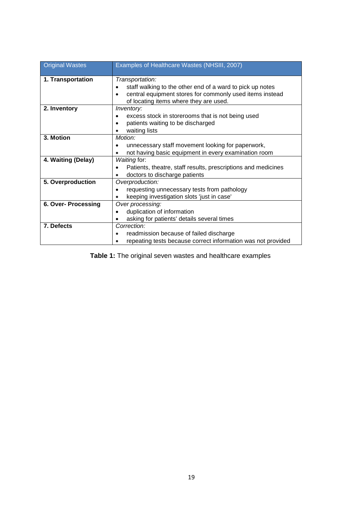| <b>Original Wastes</b> | Examples of Healthcare Wastes (NHSIII, 2007)                                                                    |  |  |  |
|------------------------|-----------------------------------------------------------------------------------------------------------------|--|--|--|
| 1. Transportation      | Transportation:                                                                                                 |  |  |  |
|                        | staff walking to the other end of a ward to pick up notes<br>$\bullet$                                          |  |  |  |
|                        | central equipment stores for commonly used items instead<br>$\bullet$<br>of locating items where they are used. |  |  |  |
| 2. Inventory           | <i>Inventory:</i>                                                                                               |  |  |  |
|                        | excess stock in storerooms that is not being used                                                               |  |  |  |
|                        | patients waiting to be discharged<br>$\bullet$                                                                  |  |  |  |
|                        | waiting lists<br>$\bullet$                                                                                      |  |  |  |
| 3. Motion              | Motion:                                                                                                         |  |  |  |
|                        | unnecessary staff movement looking for paperwork,                                                               |  |  |  |
|                        | not having basic equipment in every examination room                                                            |  |  |  |
| 4. Waiting (Delay)     | Waiting for:                                                                                                    |  |  |  |
|                        | Patients, theatre, staff results, prescriptions and medicines                                                   |  |  |  |
|                        | doctors to discharge patients                                                                                   |  |  |  |
| 5. Overproduction      | Overproduction:                                                                                                 |  |  |  |
|                        | requesting unnecessary tests from pathology                                                                     |  |  |  |
|                        | keeping investigation slots 'just in case'                                                                      |  |  |  |
| 6. Over- Processing    | Over processing:                                                                                                |  |  |  |
|                        | duplication of information                                                                                      |  |  |  |
|                        | asking for patients' details several times                                                                      |  |  |  |
| 7. Defects             | Correction:                                                                                                     |  |  |  |
|                        | readmission because of failed discharge                                                                         |  |  |  |
|                        | repeating tests because correct information was not provided                                                    |  |  |  |

**Table 1:** The original seven wastes and healthcare examples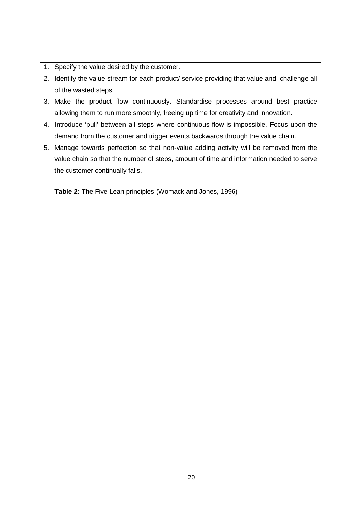- 1. Specify the value desired by the customer.
- 2. Identify the value stream for each product/ service providing that value and, challenge all of the wasted steps.
- 3. Make the product flow continuously. Standardise processes around best practice allowing them to run more smoothly, freeing up time for creativity and innovation.
- 4. Introduce 'pull' between all steps where continuous flow is impossible. Focus upon the demand from the customer and trigger events backwards through the value chain.
- 5. Manage towards perfection so that non-value adding activity will be removed from the value chain so that the number of steps, amount of time and information needed to serve the customer continually falls.

**Table 2:** The Five Lean principles (Womack and Jones, 1996)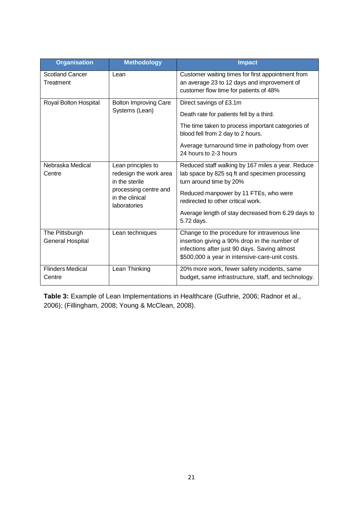| <b>Organisation</b>          | <b>Methodology</b>                                                                                   | <b>Impact</b>                                                                                                                              |
|------------------------------|------------------------------------------------------------------------------------------------------|--------------------------------------------------------------------------------------------------------------------------------------------|
| Scotland Cancer<br>Treatment | Lean                                                                                                 | Customer waiting times for first appointment from<br>an average 23 to 12 days and improvement of<br>customer flow time for patients of 48% |
| Royal Bolton Hospital        | <b>Bolton Improving Care</b><br>Systems (Lean)                                                       | Direct savings of £3.1m                                                                                                                    |
|                              |                                                                                                      | Death rate for patients fell by a third.                                                                                                   |
|                              |                                                                                                      | The time taken to process important categories of<br>blood fell from 2 day to 2 hours.                                                     |
|                              |                                                                                                      | Average turnaround time in pathology from over<br>24 hours to 2-3 hours                                                                    |
| Nebraska Medical             | Lean principles to                                                                                   | Reduced staff walking by 167 miles a year. Reduce                                                                                          |
| Centre                       | redesign the work area<br>in the sterile<br>processing centre and<br>in the clinical<br>laboratories | lab space by 825 sq ft and specimen processing<br>turn around time by 20%                                                                  |
|                              |                                                                                                      | Reduced manpower by 11 FTEs, who were<br>redirected to other critical work.                                                                |
|                              |                                                                                                      | Average length of stay decreased from 6.29 days to<br>5.72 days.                                                                           |
| The Pittsburgh               | Lean techniques                                                                                      | Change to the procedure for intravenous line                                                                                               |
| <b>General Hospital</b>      |                                                                                                      | insertion giving a 90% drop in the number of<br>infections after just 90 days. Saving almost                                               |
|                              |                                                                                                      | \$500,000 a year in intensive-care-unit costs.                                                                                             |
| <b>Flinders Medical</b>      | Lean Thinking                                                                                        | 20% more work, fewer safety incidents, same                                                                                                |
| Centre                       |                                                                                                      | budget, same infrastructure, staff, and technology.                                                                                        |

**Table 3:** Example of Lean Implementations in Healthcare (Guthrie, 2006; Radnor et al., 2006); (Fillingham, 2008; Young & McClean, 2008).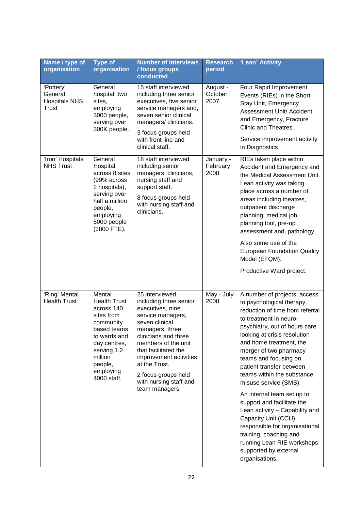| Name / type of<br>organisation                        | <b>Type of</b><br>organisation                                                                                                                                                         | <b>Number of interviews</b><br>/ focus groups<br>conducted                                                                                                                                                                                                                                                  | <b>Research</b><br>period     | 'Lean' Activity                                                                                                                                                                                                                                                                                                                                                                                                                                                                                                                                                                                                    |
|-------------------------------------------------------|----------------------------------------------------------------------------------------------------------------------------------------------------------------------------------------|-------------------------------------------------------------------------------------------------------------------------------------------------------------------------------------------------------------------------------------------------------------------------------------------------------------|-------------------------------|--------------------------------------------------------------------------------------------------------------------------------------------------------------------------------------------------------------------------------------------------------------------------------------------------------------------------------------------------------------------------------------------------------------------------------------------------------------------------------------------------------------------------------------------------------------------------------------------------------------------|
| 'Pottery'<br>General<br><b>Hospitals NHS</b><br>Trust | General<br>hospital, two<br>sites,<br>employing<br>3000 people,<br>serving over<br>300K people.                                                                                        | 15 staff interviewed<br>including three senior<br>executives, five senior<br>service managers and,<br>seven senior clinical<br>managers/clinicians.<br>3 focus groups held<br>with front line and<br>clinical staff.                                                                                        | August -<br>October<br>2007   | Four Rapid Improvement<br>Events (RIEs) in the Short<br>Stay Unit, Emergency<br>Assessment Unit/ Accident<br>and Emergency, Fracture<br>Clinic and Theatres.<br>Service improvement activity<br>in Diagnostics.                                                                                                                                                                                                                                                                                                                                                                                                    |
| 'Iron' Hospitals<br><b>NHS Trust</b>                  | General<br>Hospital<br>across 8 sites<br>(99% across<br>2 hospitals),<br>serving over<br>half a million<br>people,<br>employing<br>5000 people<br>(3800 FTE).                          | 18 staff interviewed<br>including senior<br>managers, clinicians,<br>nursing staff and<br>support staff.<br>8 focus groups held<br>with nursing staff and<br>clinicians.                                                                                                                                    | January -<br>February<br>2008 | RIEs taken place within<br>Accident and Emergency and<br>the Medical Assessment Unit.<br>Lean activity was taking<br>place across a number of<br>areas including theatres,<br>outpatient discharge<br>planning, medical job<br>planning tool, pre-op<br>assessment and, pathology.<br>Also some use of the<br><b>European Foundation Quality</b><br>Model (EFQM).<br>Productive Ward project.                                                                                                                                                                                                                      |
| 'Ring' Mental<br><b>Health Trust</b>                  | Mental<br><b>Health Trust</b><br>across 140<br>sites from<br>community<br>based teams<br>to wards and<br>day centres,<br>serving 1.2<br>million<br>people,<br>employing<br>4000 staff. | 25 interviewed<br>including three senior<br>executives, nine<br>service managers,<br>seven clinical<br>managers, three<br>clinicians and three<br>members of the unit<br>that facilitated the<br>improvement activities<br>at the Trust.<br>2 focus groups held<br>with nursing staff and<br>team managers. | May - July<br>2008            | A number of projects; access<br>to psychological therapy,<br>reduction of time from referral<br>to treatment in neuro-<br>psychiatry, out of hours care<br>looking at crisis resolution<br>and home treatment, the<br>merger of two pharmacy<br>teams and focusing on<br>patient transfer between<br>teams within the substance<br>misuse service (SMS).<br>An internal team set up to<br>support and facilitate the<br>Lean activity - Capability and<br>Capacity Unit (CCU)<br>responsible for organisational<br>training, coaching and<br>running Lean RIE workshops<br>supported by external<br>organisations. |